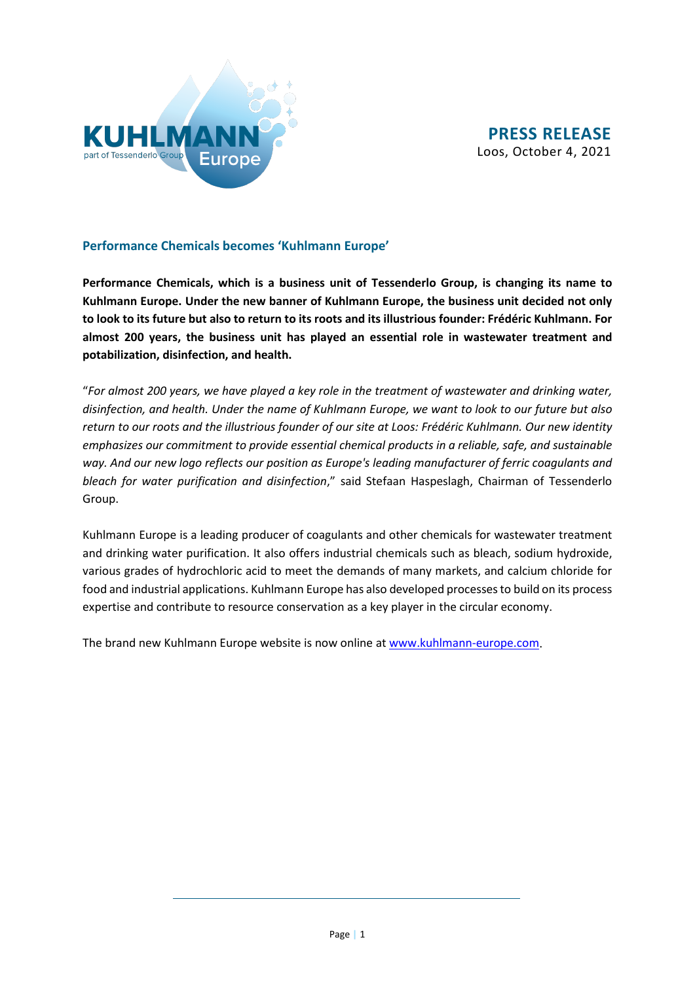

## **Performance Chemicals becomes 'Kuhlmann Europe'**

**Performance Chemicals, which is a business unit of Tessenderlo Group, is changing its name to Kuhlmann Europe. Under the new banner of Kuhlmann Europe, the business unit decided not only to look to its future but also to return to its roots and its illustrious founder: Frédéric Kuhlmann. For almost 200 years, the business unit has played an essential role in wastewater treatment and potabilization, disinfection, and health.**

"*For almost 200 years, we have played a key role in the treatment of wastewater and drinking water, disinfection, and health. Under the name of Kuhlmann Europe, we want to look to our future but also return to our roots and the illustrious founder of our site at Loos: Frédéric Kuhlmann. Our new identity emphasizes our commitment to provide essential chemical products in a reliable, safe, and sustainable way. And our new logo reflects our position as Europe's leading manufacturer of ferric coagulants and bleach for water purification and disinfection*," said Stefaan Haspeslagh, Chairman of Tessenderlo Group.

Kuhlmann Europe is a leading producer of coagulants and other chemicals for wastewater treatment and drinking water purification. It also offers industrial chemicals such as bleach, sodium hydroxide, various grades of hydrochloric acid to meet the demands of many markets, and calcium chloride for food and industrial applications. Kuhlmann Europe has also developed processes to build on its process expertise and contribute to resource conservation as a key player in the circular economy.

The brand new Kuhlmann Europe website is now online a[t www.kuhlmann-europe.com.](http://www.kuhlmann-europe.com/)